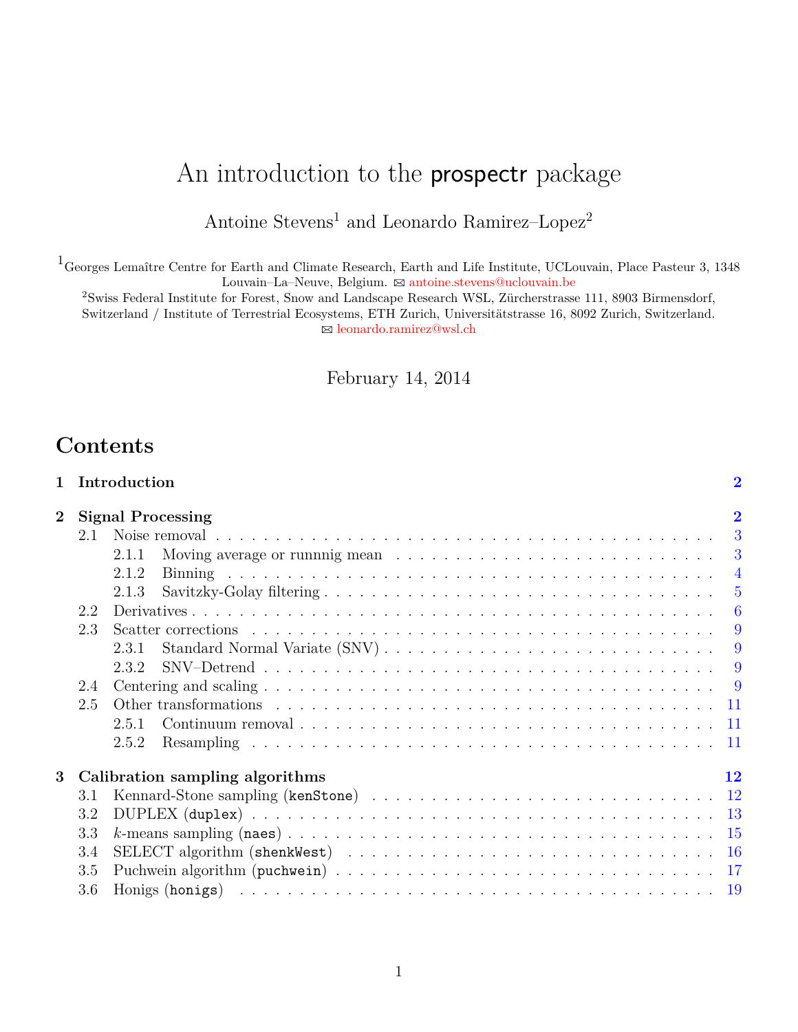# An introduction to the prospectr package

# Antoine  $\rm{Stevens^1}$  and Leonardo Ramirez–Lopez $^2$

 $^1\rm{Georges}$  Lemaître Centre for Earth and Climate Research, Earth and Life Institute, UCLouvain, Place Pasteur 3, 1348 Louvain–La–Neuve, Belgium. ⊠ [antoine.stevens@uclouvain.be](mailto:antoine.stevens@uclouvain.be)

<sup>2</sup>Swiss Federal Institute for Forest, Snow and Landscape Research WSL, Zürcherstrasse 111, 8903 Birmensdorf, Switzerland / Institute of Terrestrial Ecosystems, ETH Zurich, Universitätstrasse 16, 8092 Zurich, Switzerland. B [leonardo.ramirez@wsl.ch](mailto:leonardo.ramirez@wsl.ch)

February 14, 2014

# **Contents**

| $\mathbf{1}$                         |     | Introduction                                                                                      | $\overline{2}$ |  |  |  |  |
|--------------------------------------|-----|---------------------------------------------------------------------------------------------------|----------------|--|--|--|--|
| $\overline{2}$                       |     | <b>Signal Processing</b>                                                                          |                |  |  |  |  |
|                                      | 2.1 |                                                                                                   |                |  |  |  |  |
|                                      |     | Moving average or running mean $\ldots \ldots \ldots \ldots \ldots \ldots \ldots \ldots$<br>2.1.1 |                |  |  |  |  |
|                                      |     | 2.1.2                                                                                             |                |  |  |  |  |
|                                      |     | 2.1.3                                                                                             |                |  |  |  |  |
|                                      | 2.2 |                                                                                                   |                |  |  |  |  |
|                                      | 2.3 |                                                                                                   |                |  |  |  |  |
|                                      |     | 2.3.1                                                                                             |                |  |  |  |  |
|                                      |     | 232                                                                                               |                |  |  |  |  |
|                                      | 2.4 |                                                                                                   |                |  |  |  |  |
|                                      | 2.5 |                                                                                                   |                |  |  |  |  |
|                                      |     | 2.5.1                                                                                             |                |  |  |  |  |
|                                      |     | 2.5.2                                                                                             |                |  |  |  |  |
| 3<br>Calibration sampling algorithms |     |                                                                                                   |                |  |  |  |  |
|                                      | 3.1 |                                                                                                   |                |  |  |  |  |
|                                      | 3.2 |                                                                                                   |                |  |  |  |  |
|                                      | 3.3 |                                                                                                   |                |  |  |  |  |
|                                      | 3.4 |                                                                                                   |                |  |  |  |  |
|                                      | 3.5 |                                                                                                   |                |  |  |  |  |
|                                      | 3.6 |                                                                                                   |                |  |  |  |  |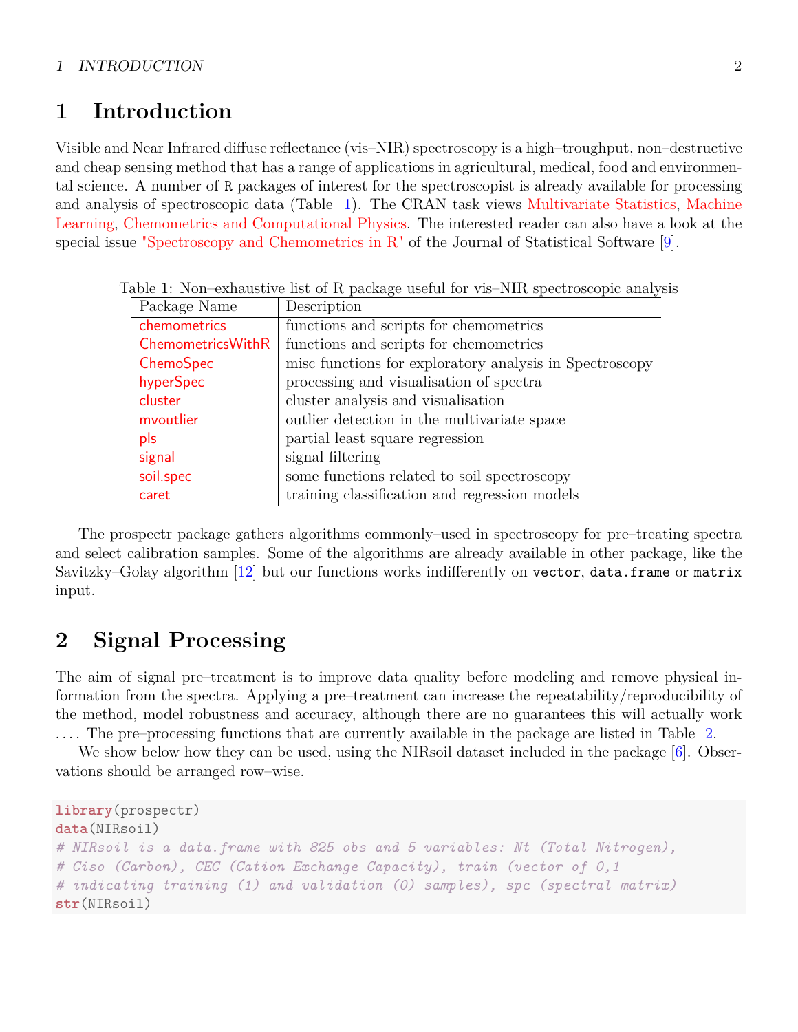# <span id="page-1-0"></span>**1 Introduction**

Visible and Near Infrared diffuse reflectance (vis–NIR) spectroscopy is a high–troughput, non–destructive and cheap sensing method that has a range of applications in agricultural, medical, food and environmental science. A number of R packages of interest for the spectroscopist is already available for processing and analysis of spectroscopic data (Table [1\)](#page-1-2). The CRAN task views [Multivariate Statistics,](http://cran.r-project.org/web/views/Multivariate.html) [Machine](http://cran.r-project.org/web/views/MachineLearning.html) [Learning,](http://cran.r-project.org/web/views/MachineLearning.html) [Chemometrics and Computational Physics.](http://cran.r-project.org/web/views/ChemPhys.html) The interested reader can also have a look at the special issue ["Spectroscopy and Chemometrics in R"](http://ww.colin-baxter.com/academic/bib/downloads/mullen07.pdf) of the Journal of Statistical Software [\[9\]](#page-20-0).

<span id="page-1-2"></span>

| Package Name             | Description                                             |
|--------------------------|---------------------------------------------------------|
| chemometrics             | functions and scripts for chemometrics                  |
| <b>ChemometricsWithR</b> | functions and scripts for chemometrics                  |
| ChemoSpec                | misc functions for exploratory analysis in Spectroscopy |
| hyperSpec                | processing and visualisation of spectra                 |
| cluster                  | cluster analysis and visualisation                      |
| mvoutlier                | outlier detection in the multivariate space             |
| pls                      | partial least square regression                         |
| signal                   | signal filtering                                        |
| soil.spec                | some functions related to soil spectroscopy             |
| caret                    | training classification and regression models           |

Table 1: Non–exhaustive list of R package useful for vis–NIR spectroscopic analysis

The prospectr package gathers algorithms commonly–used in spectroscopy for pre–treating spectra and select calibration samples. Some of the algorithms are already available in other package, like the Savitzky–Golay algorithm [\[12\]](#page-20-1) but our functions works indifferently on vector, data.frame or matrix input.

# <span id="page-1-1"></span>**2 Signal Processing**

The aim of signal pre–treatment is to improve data quality before modeling and remove physical information from the spectra. Applying a pre–treatment can increase the repeatability/reproducibility of the method, model robustness and accuracy, although there are no guarantees this will actually work . . . . The pre–processing functions that are currently available in the package are listed in Table [2.](#page-2-2)

We show below how they can be used, using the NIRsoil dataset included in the package [\[6\]](#page-18-1). Observations should be arranged row–wise.

```
library(prospectr)
data(NIRsoil)
# NIRsoil is a data.frame with 825 obs and 5 variables: Nt (Total Nitrogen),
# Ciso (Carbon), CEC (Cation Exchange Capacity), train (vector of 0,1
# indicating training (1) and validation (0) samples), spc (spectral matrix)
str(NIRsoil)
```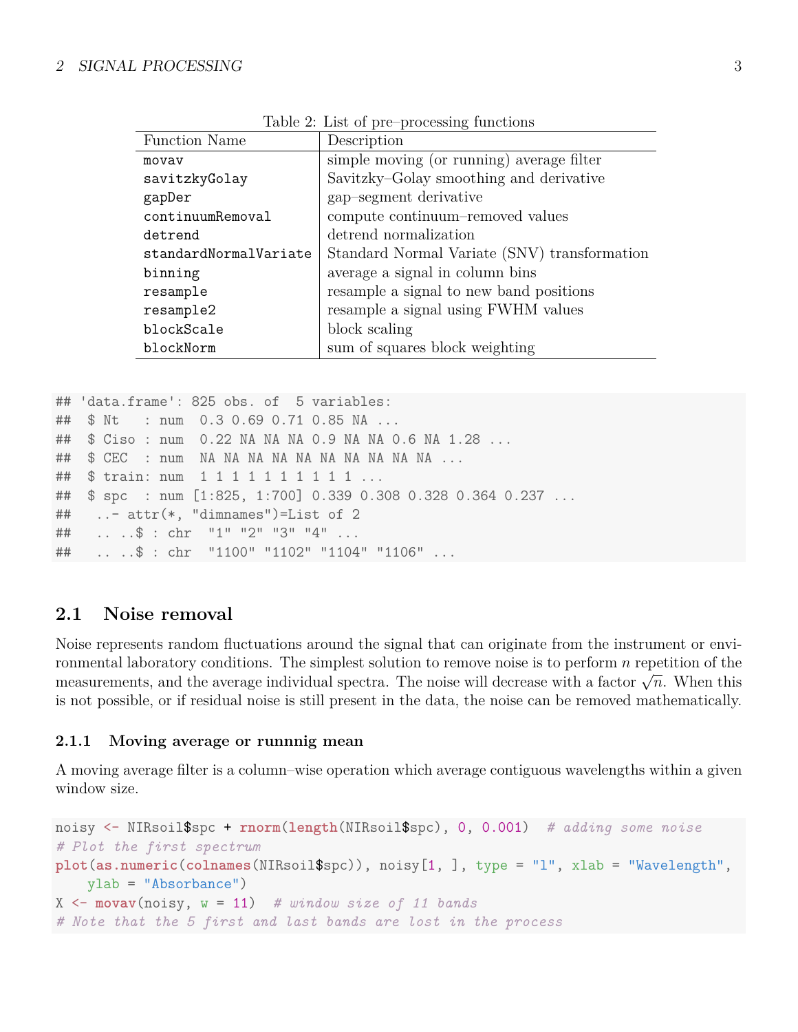| $10000$ $\mu$ . $10000$ $\mu$ $\mu$ $\sigma$ $\sigma$ $\sigma$ $\sigma$ $\sigma$ $\sigma$ $\sigma$ |                                              |  |  |  |
|----------------------------------------------------------------------------------------------------|----------------------------------------------|--|--|--|
| Function Name                                                                                      | Description                                  |  |  |  |
| movav                                                                                              | simple moving (or running) average filter    |  |  |  |
| savitzkyGolay                                                                                      | Savitzky-Golay smoothing and derivative      |  |  |  |
| gapDer                                                                                             | gap-segment derivative                       |  |  |  |
| continuumRemoval                                                                                   | compute continuum-removed values             |  |  |  |
| detrend                                                                                            | detrend normalization                        |  |  |  |
| standardNormalVariate                                                                              | Standard Normal Variate (SNV) transformation |  |  |  |
| binning                                                                                            | average a signal in column bins              |  |  |  |
| resample                                                                                           | resample a signal to new band positions      |  |  |  |
| resample2                                                                                          | resample a signal using FWHM values          |  |  |  |
| blockScale                                                                                         | block scaling                                |  |  |  |
| blockNorm                                                                                          | sum of squares block weighting               |  |  |  |

<span id="page-2-2"></span>Table 2: List of pre–processing functions

```
## 'data.frame': 825 obs. of 5 variables:
## $ Nt : num 0.3 0.69 0.71 0.85 NA ...
## $ Ciso : num 0.22 NA NA NA 0.9 NA NA 0.6 NA 1.28 ...
## $ CEC : num NA NA NA NA NA NA NA NA NA NA ...
## $ train: num 1 1 1 1 1 1 1 1 1 1 ...
## $ spc : num [1:825, 1:700] 0.339 0.308 0.328 0.364 0.237 ...
## ..- attr(*, "dimnames")=List of 2
## .. ..$ : chr "1" "2" "3" "4" ...
## .. ..$ : chr "1100" "1102" "1104" "1106" ...
```
# <span id="page-2-0"></span>**2.1 Noise removal**

Noise represents random fluctuations around the signal that can originate from the instrument or environmental laboratory conditions. The simplest solution to remove noise is to perform *n* repetition of the measurements, and the average individual spectra. The noise will decrease with a factor  $\sqrt{n}$ . When this is not possible, or if residual noise is still present in the data, the noise can be removed mathematically.

### <span id="page-2-1"></span>**2.1.1 Moving average or runnnig mean**

A moving average filter is a column–wise operation which average contiguous wavelengths within a given window size.

```
noisy <- NIRsoil$spc + rnorm(length(NIRsoil$spc), 0, 0.001) # adding some noise
# Plot the first spectrum
plot(as.numeric(colnames(NIRsoil$spc)), noisy[1, ], type = "l", xlab = "Wavelength",
   ylab = "Absorbance")
X <- movav(noisy, w = 11) # window size of 11 bands
# Note that the 5 first and last bands are lost in the process
```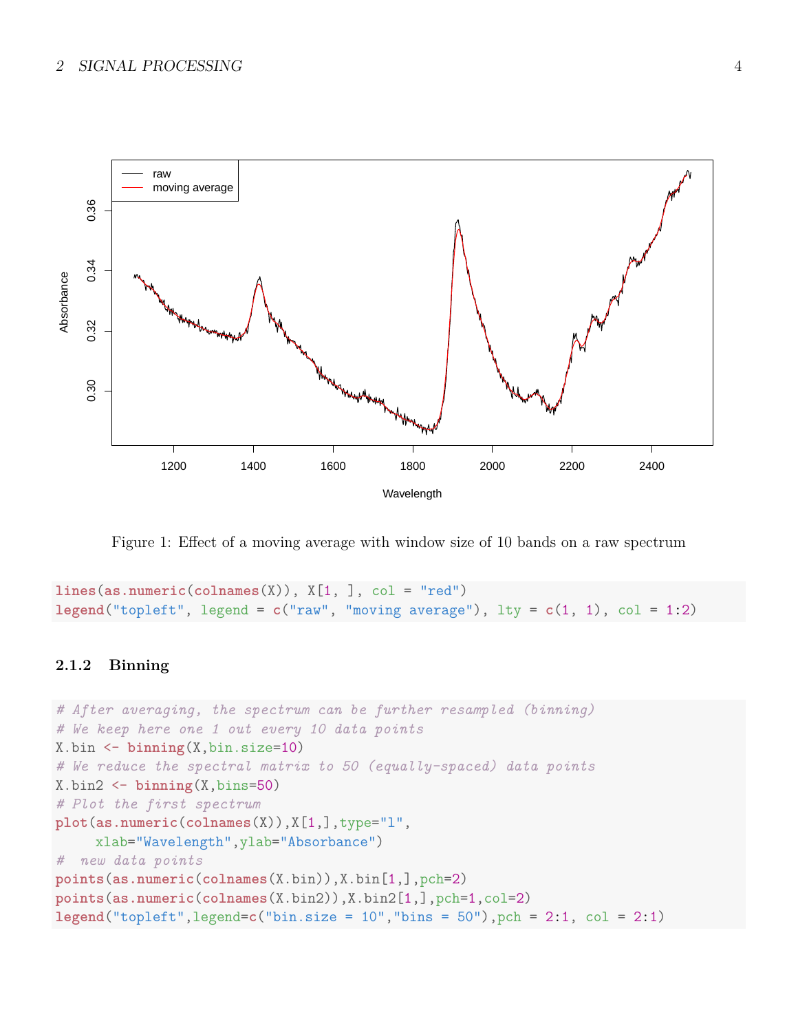

Figure 1: Effect of a moving average with window size of 10 bands on a raw spectrum

```
lines(as.numeric(colnames(X)), X[1, ], col = "red")
legend("topleft", legend = c("raw", "moving average"), lty = c(1, 1), col = 1:2)
```
### <span id="page-3-0"></span>**2.1.2 Binning**

```
# After averaging, the spectrum can be further resampled (binning)
# We keep here one 1 out every 10 data points
X.bin <- binning(X,bin.size=10)
# We reduce the spectral matrix to 50 (equally-spaced) data points
X.bin2 <- binning(X,bins=50)
# Plot the first spectrum
plot(as.numeric(colnames(X)),X[1,],type="l",
     xlab="Wavelength",ylab="Absorbance")
# new data points
points(as.numeric(colnames(X.bin)),X.bin[1,],pch=2)
points(as.numeric(colnames(X.bin2)),X.bin2[1,],pch=1,col=2)
legend("topleft",legend=c("bin.size = 10","bins = 50"),pch = 2:1, col = 2:1)
```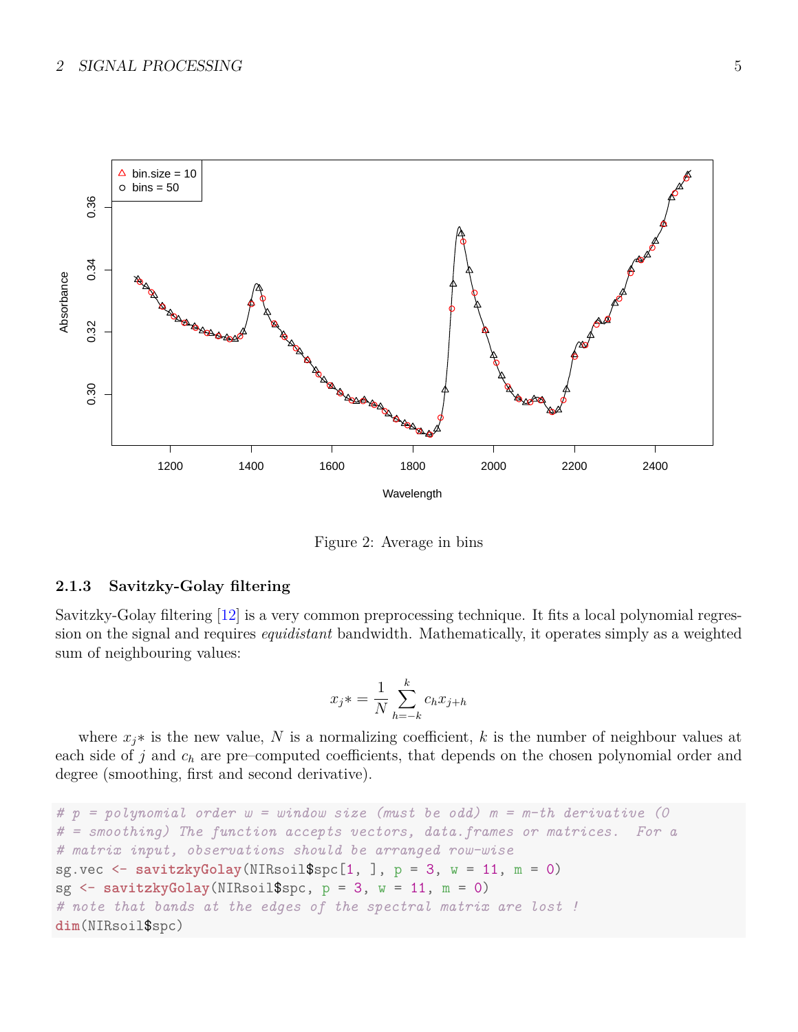

Figure 2: Average in bins

### <span id="page-4-0"></span>**2.1.3 Savitzky-Golay filtering**

Savitzky-Golay filtering [\[12\]](#page-20-1) is a very common preprocessing technique. It fits a local polynomial regression on the signal and requires *equidistant* bandwidth. Mathematically, it operates simply as a weighted sum of neighbouring values:

$$
x_j * = \frac{1}{N} \sum_{h=-k}^{k} c_h x_{j+h}
$$

where  $x_j$ <sup>\*</sup> is the new value, N is a normalizing coefficient, k is the number of neighbour values at each side of *j* and *c<sup>h</sup>* are pre–computed coefficients, that depends on the chosen polynomial order and degree (smoothing, first and second derivative).

```
# p = polynomial order w = window size (must be odd) m = m-th derivative (0
# = smoothing) The function accepts vectors, data.frames or matrices. For a
# matrix input, observations should be arranged row-wise
sg.vec \leq savitzkyGolay(NIRsoil$spc[1, ], p = 3, w = 11, m = 0)
sg \le - savitzkyGolay(NIRsoil\gpc, p = 3, w = 11, m = 0)
# note that bands at the edges of the spectral matrix are lost !
dim(NIRsoil$spc)
```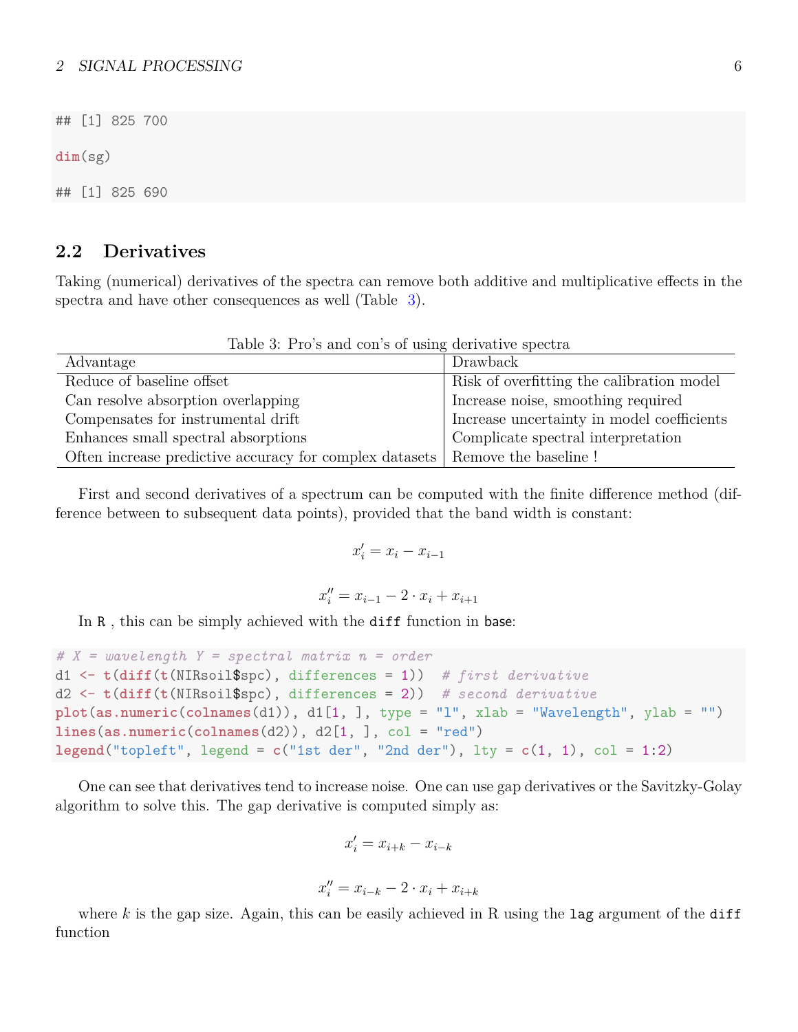### 2 SIGNAL PROCESSING 6

## [1] 825 700

**dim**(sg)

## [1] 825 690

## <span id="page-5-0"></span>**2.2 Derivatives**

Taking (numerical) derivatives of the spectra can remove both additive and multiplicative effects in the spectra and have other consequences as well (Table [3\)](#page-5-1).

<span id="page-5-1"></span>Table 3: Pro's and con's of using derivative spectra

| Advantage                                                                       | Drawback                                   |
|---------------------------------------------------------------------------------|--------------------------------------------|
| Reduce of baseline offset                                                       | Risk of overfitting the calibration model  |
| Can resolve absorption overlapping                                              | Increase noise, smoothing required         |
| Compensates for instrumental drift                                              | Increase uncertainty in model coefficients |
| Enhances small spectral absorptions                                             | Complicate spectral interpretation         |
| Often increase predictive accuracy for complex datasets   Remove the baseline ! |                                            |

First and second derivatives of a spectrum can be computed with the finite difference method (difference between to subsequent data points), provided that the band width is constant:

$$
x_i' = x_i - x_{i-1}
$$

$$
x_i'' = x_{i-1} - 2 \cdot x_i + x_{i+1}
$$

In R, this can be simply achieved with the diff function in base:

```
# X = wavelength Y = spectral matrix n = order
d1 <- t(diff(t(NIRsoil$spc), differences = 1)) # first derivative
d2 <- t(diff(t(NIRsoil$spc), differences = 2)) # second derivative
plot(as.numeric(colnames(d1)), d1[1, ], type = "l", xlab = "Wavelength", ylab = "")
lines(as.numeric(colnames(d2)), d2[1, ], col = "red")
\text{legend}("topleft", \text{ legend} = c("1st der", "2nd der"), \text{lty} = c(1, 1), col = 1:2)
```
One can see that derivatives tend to increase noise. One can use gap derivatives or the Savitzky-Golay algorithm to solve this. The gap derivative is computed simply as:

$$
x'_{i} = x_{i+k} - x_{i-k}
$$

$$
x''_{i} = x_{i-k} - 2 \cdot x_{i} + x_{i+k}
$$

where *k* is the gap size. Again, this can be easily achieved in R using the lag argument of the diff function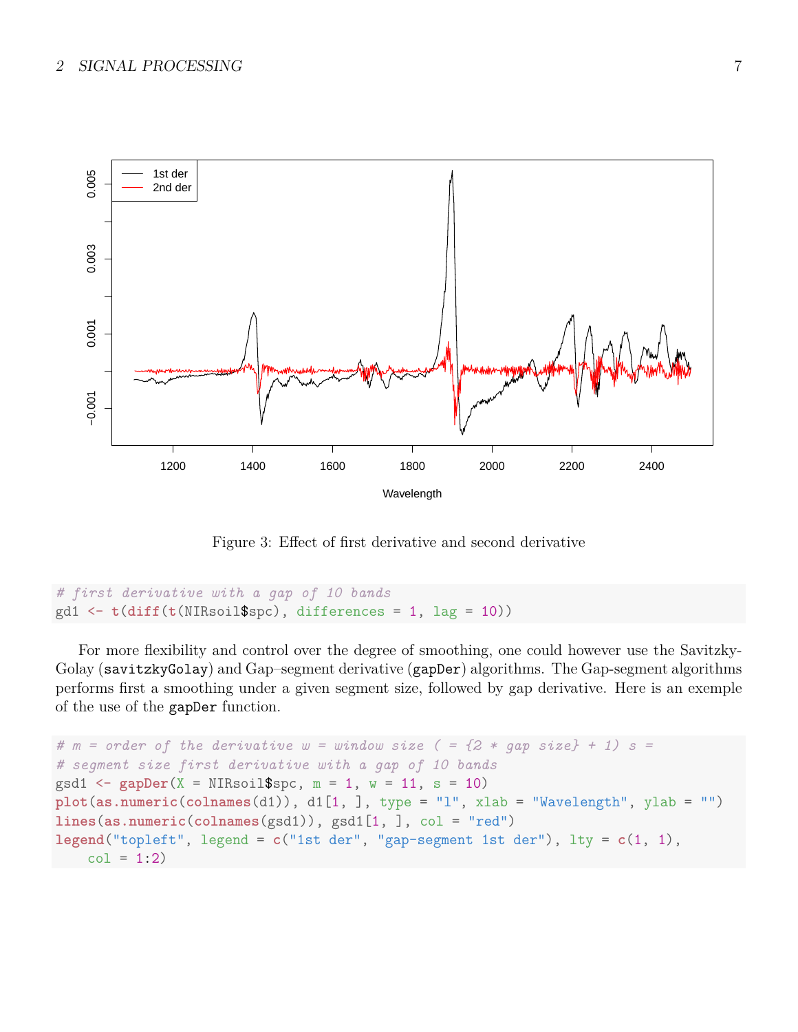

Figure 3: Effect of first derivative and second derivative

```
# first derivative with a gap of 10 bands
gd1 <- t(diff(t(NIRsoil$spc), differences = 1, lag = 10))
```
For more flexibility and control over the degree of smoothing, one could however use the Savitzky-Golay (savitzkyGolay) and Gap–segment derivative (gapDer) algorithms. The Gap-segment algorithms performs first a smoothing under a given segment size, followed by gap derivative. Here is an exemple of the use of the gapDer function.

```
# m = order of the derivative w = window size ( = {2 * gap size} + 1) s =
# segment size first derivative with a gap of 10 bands
gsd1 \leq-gapDer(X = NIRsoil$spc, m = 1, w = 11, s = 10)plot(as.numeric(colnames(d1)), d1[1, ], type = "l", xlab = "Wavelength", ylab = "")
lines(as.numeric(colnames(gsd1)), gsd1[1, ], col = "red")
legend("topleft", legend = c("1st der", "gap-segment 1st der"), lty = c(1, 1),
    col = 1:2
```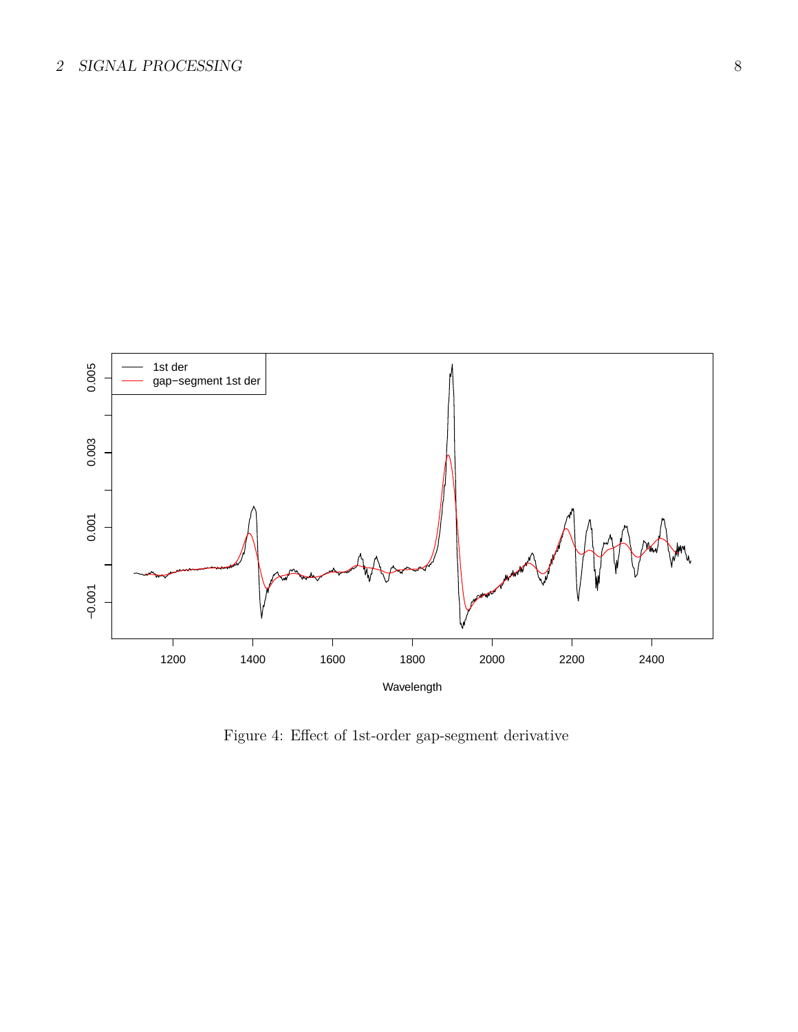

Figure 4: Effect of 1st-order gap-segment derivative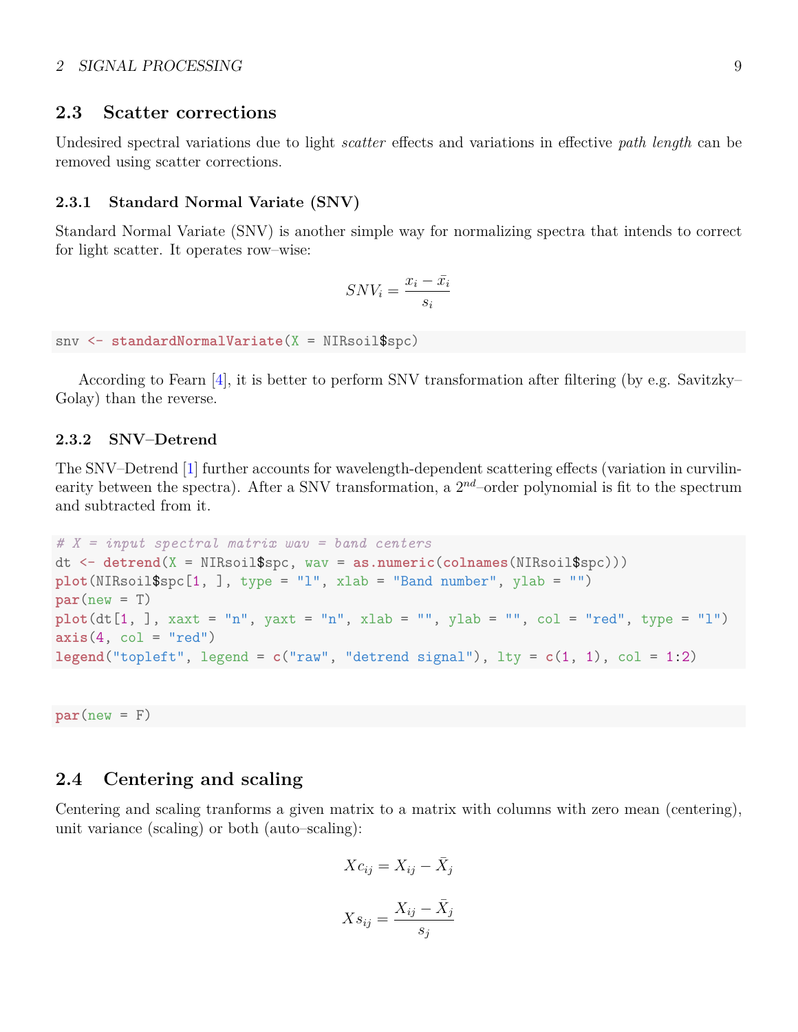### 2 SIGNAL PROCESSING 9

### <span id="page-8-0"></span>**2.3 Scatter corrections**

Undesired spectral variations due to light *scatter* effects and variations in effective *path length* can be removed using scatter corrections.

#### <span id="page-8-1"></span>**2.3.1 Standard Normal Variate (SNV)**

Standard Normal Variate (SNV) is another simple way for normalizing spectra that intends to correct for light scatter. It operates row–wise:

$$
SNV_i = \frac{x_i - \bar{x_i}}{s_i}
$$

snv <- **standardNormalVariate**(X = NIRsoil\$spc)

According to Fearn [\[4\]](#page-18-2), it is better to perform SNV transformation after filtering (by e.g. Savitzky– Golay) than the reverse.

### <span id="page-8-2"></span>**2.3.2 SNV–Detrend**

The SNV–Detrend [\[1\]](#page-18-3) further accounts for wavelength-dependent scattering effects (variation in curvilinearity between the spectra). After a SNV transformation, a 2*nd*–order polynomial is fit to the spectrum and subtracted from it.

```
# X = input spectral matrix wav = band centers
dt <- detrend(X = NIRsoil$spc, wav = as.numeric(colnames(NIRsoil$spc)))
plot(NIRsoil$spc[1, ], type = "l", xlab = "Band number", ylab = "")
par(new = T)plot(dt[1,], xaxt = "n", yaxt = "n", xlab = "", ylab = "", col = "red", type = "l")axis(4, col = "red")\text{legend("topleft", legend = c("raw", "detrend signal"), lty = c(1, 1), col = 1:2)}
```
 $par(new = F)$ 

## <span id="page-8-3"></span>**2.4 Centering and scaling**

Centering and scaling tranforms a given matrix to a matrix with columns with zero mean (centering), unit variance (scaling) or both (auto–scaling):

$$
Xc_{ij} = X_{ij} - \bar{X}_j
$$

$$
Xs_{ij} = \frac{X_{ij} - \bar{X}_j}{s_j}
$$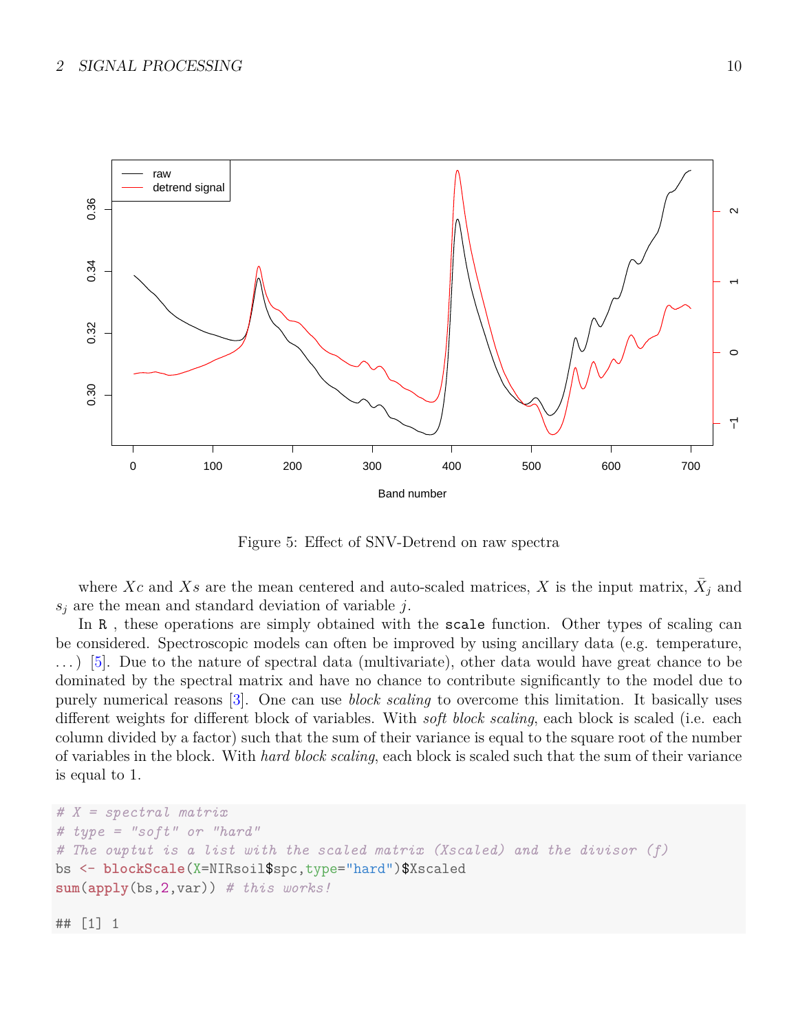

Figure 5: Effect of SNV-Detrend on raw spectra

where Xc and Xs are the mean centered and auto-scaled matrices, X is the input matrix,  $\bar{X}_j$  and *s<sup>j</sup>* are the mean and standard deviation of variable *j*.

In R, these operations are simply obtained with the scale function. Other types of scaling can be considered. Spectroscopic models can often be improved by using ancillary data (e.g. temperature, . . . ) [\[5\]](#page-18-4). Due to the nature of spectral data (multivariate), other data would have great chance to be dominated by the spectral matrix and have no chance to contribute significantly to the model due to purely numerical reasons [\[3\]](#page-18-5). One can use *block scaling* to overcome this limitation. It basically uses different weights for different block of variables. With *soft block scaling*, each block is scaled (i.e. each column divided by a factor) such that the sum of their variance is equal to the square root of the number of variables in the block. With *hard block scaling*, each block is scaled such that the sum of their variance is equal to 1.

```
# X = spectral matrix
# type = "soft" or "hard"
# The ouptut is a list with the scaled matrix (Xscaled) and the divisor (f)
bs <- blockScale(X=NIRsoil$spc,type="hard")$Xscaled
sum(apply(bs,2,var)) # this works!
```

```
## [1] 1
```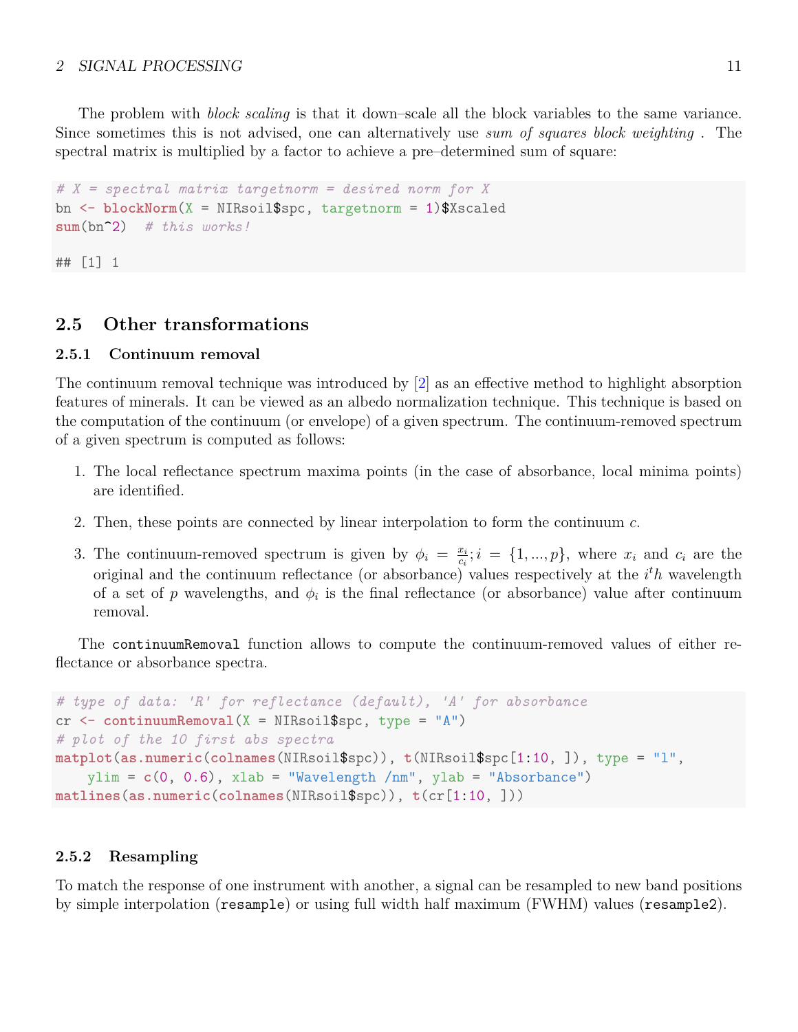### 2 SIGNAL PROCESSING 11

The problem with *block scaling* is that it down–scale all the block variables to the same variance. Since sometimes this is not advised, one can alternatively use *sum of squares block weighting* . The spectral matrix is multiplied by a factor to achieve a pre–determined sum of square:

```
# X = spectral matrix targetnorm = desired norm for X
bn <- blockNorm(X = NIRsoil$spc, targetnorm = 1)$Xscaled
sum(bn^2) # this works!
```
## [1] 1

## <span id="page-10-0"></span>**2.5 Other transformations**

### <span id="page-10-1"></span>**2.5.1 Continuum removal**

The continuum removal technique was introduced by [\[2\]](#page-18-6) as an effective method to highlight absorption features of minerals. It can be viewed as an albedo normalization technique. This technique is based on the computation of the continuum (or envelope) of a given spectrum. The continuum-removed spectrum of a given spectrum is computed as follows:

- 1. The local reflectance spectrum maxima points (in the case of absorbance, local minima points) are identified.
- 2. Then, these points are connected by linear interpolation to form the continuum *c*.
- 3. The continuum-removed spectrum is given by  $\phi_i = \frac{x_i}{\phi_i}$  $\frac{x_i}{c_i}$ ;  $i = \{1, ..., p\}$ , where  $x_i$  and  $c_i$  are the original and the continuum reflectance (or absorbance) values respectively at the *i <sup>t</sup>h* wavelength of a set of *p* wavelengths, and  $\phi_i$  is the final reflectance (or absorbance) value after continuum removal.

The continuumRemoval function allows to compute the continuum-removed values of either reflectance or absorbance spectra.

```
# type of data: 'R' for reflectance (default), 'A' for absorbance
cr <- continuumRemoval(X = NIRsoil$spc, type = "A")
# plot of the 10 first abs spectra
matplot(as.numeric(colnames(NIRsoil$spc)), t(NIRsoil$spc[1:10, ]), type = "l",
    ylim = c(0, 0.6), xlab = "Wavelength /nm", ylab = "Absorbane")matlines(as.numeric(colnames(NIRsoil$spc)), t(cr[1:10, ]))
```
### <span id="page-10-2"></span>**2.5.2 Resampling**

To match the response of one instrument with another, a signal can be resampled to new band positions by simple interpolation (resample) or using full width half maximum (FWHM) values (resample2).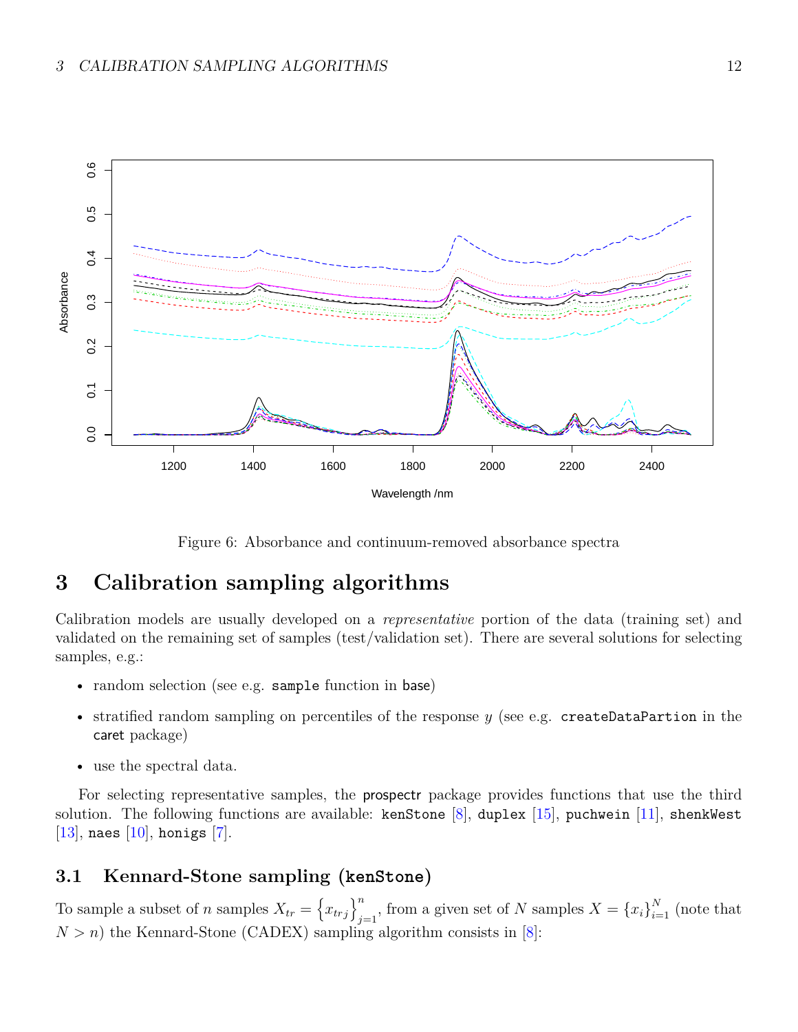

Figure 6: Absorbance and continuum-removed absorbance spectra

# <span id="page-11-0"></span>**3 Calibration sampling algorithms**

Calibration models are usually developed on a *representative* portion of the data (training set) and validated on the remaining set of samples (test/validation set). There are several solutions for selecting samples, e.g.:

- random selection (see e.g. sample function in base)
- stratified random sampling on percentiles of the response *y* (see e.g. createDataPartion in the caret package)
- use the spectral data.

For selecting representative samples, the prospectr package provides functions that use the third solution. The following functions are available: kenStone [\[8\]](#page-20-2), duplex [\[15\]](#page-21-0), puchwein [\[11\]](#page-20-3), shenkWest [\[13\]](#page-20-4), naes [\[10\]](#page-20-5), honigs [\[7\]](#page-18-7).

# <span id="page-11-1"></span>**3.1 Kennard-Stone sampling (kenStone)**

To sample a subset of *n* samples  $X_{tr} = \left\{ x_{trj} \right\}_{i=1}^{n}$  $\sum_{j=1}^{n}$ , from a given set of *N* samples  $X = \{x_i\}_{i=1}^{N}$  (note that  $N > n$ ) the Kennard-Stone (CADEX) sampling algorithm consists in [\[8\]](#page-20-2):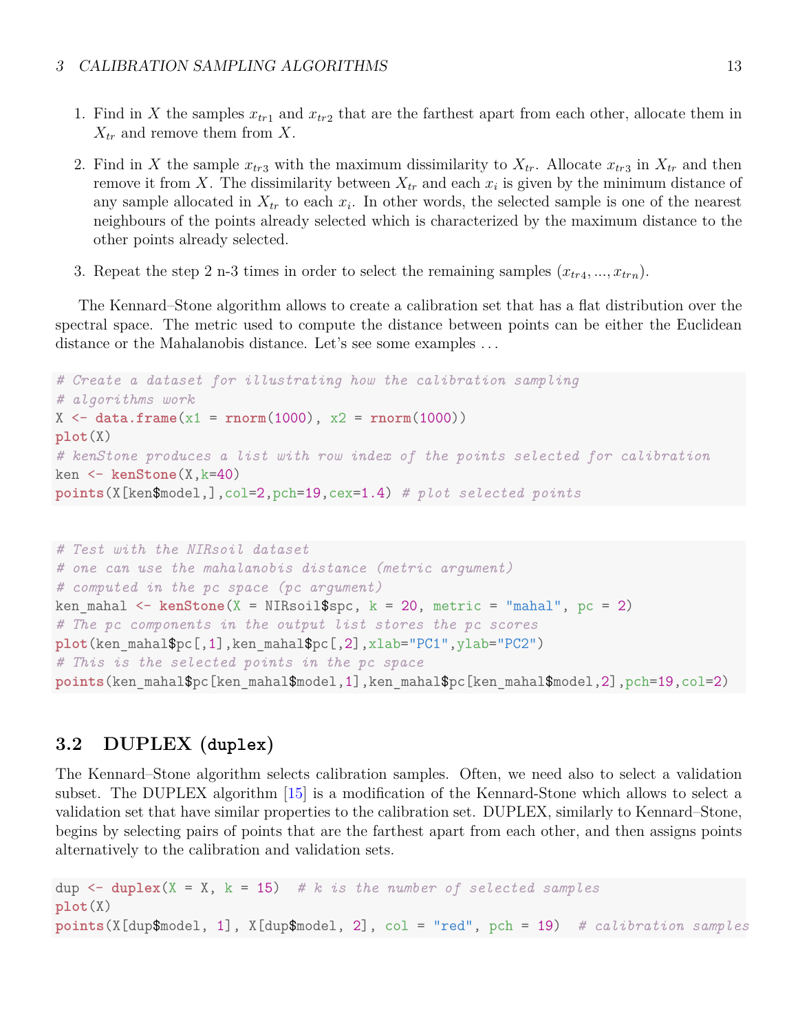- 1. Find in *X* the samples  $x_{tr1}$  and  $x_{tr2}$  that are the farthest apart from each other, allocate them in *Xtr* and remove them from *X*.
- 2. Find in *X* the sample  $x_{tr3}$  with the maximum dissimilarity to  $X_{tr}$ . Allocate  $x_{tr3}$  in  $X_{tr}$  and then remove it from *X*. The dissimilarity between  $X_{tr}$  and each  $x_i$  is given by the minimum distance of any sample allocated in  $X_{tr}$  to each  $x_i$ . In other words, the selected sample is one of the nearest neighbours of the points already selected which is characterized by the maximum distance to the other points already selected.
- 3. Repeat the step 2 n-3 times in order to select the remaining samples  $(x_{tr4},...,x_{trn})$ .

The Kennard–Stone algorithm allows to create a calibration set that has a flat distribution over the spectral space. The metric used to compute the distance between points can be either the Euclidean distance or the Mahalanobis distance. Let's see some examples ...

```
# Create a dataset for illustrating how the calibration sampling
# algorithms work
X \leftarrow \text{data-frame}(x1 = \text{norm}(1000), x2 = \text{norm}(1000))plot(X)
# kenStone produces a list with row index of the points selected for calibration
ken <- kenStone(X,k=40)
points(X[ken$model,],col=2,pch=19,cex=1.4) # plot selected points
```

```
# Test with the NIRsoil dataset
# one can use the mahalanobis distance (metric argument)
# computed in the pc space (pc argument)
ken mahal \leq kenStone(X = NIRsoil$spc, k = 20, metric = "mahal", pc = 2)
# The pc components in the output list stores the pc scores
plot(ken_mahal$pc[,1],ken_mahal$pc[,2],xlab="PC1",ylab="PC2")
# This is the selected points in the pc space
points(ken_mahal$pc[ken_mahal$model,1],ken_mahal$pc[ken_mahal$model,2],pch=19,col=2)
```
# <span id="page-12-0"></span>**3.2 DUPLEX (duplex)**

The Kennard–Stone algorithm selects calibration samples. Often, we need also to select a validation subset. The DUPLEX algorithm [\[15\]](#page-21-0) is a modification of the Kennard-Stone which allows to select a validation set that have similar properties to the calibration set. DUPLEX, similarly to Kennard–Stone, begins by selecting pairs of points that are the farthest apart from each other, and then assigns points alternatively to the calibration and validation sets.

dup  $\leq$  duplex(X = X, k = 15) # k is the number of selected samples **plot**(X) **points**(X[dup\$model, 1], X[dup\$model, 2], col = "red", pch = 19) *# calibration samples*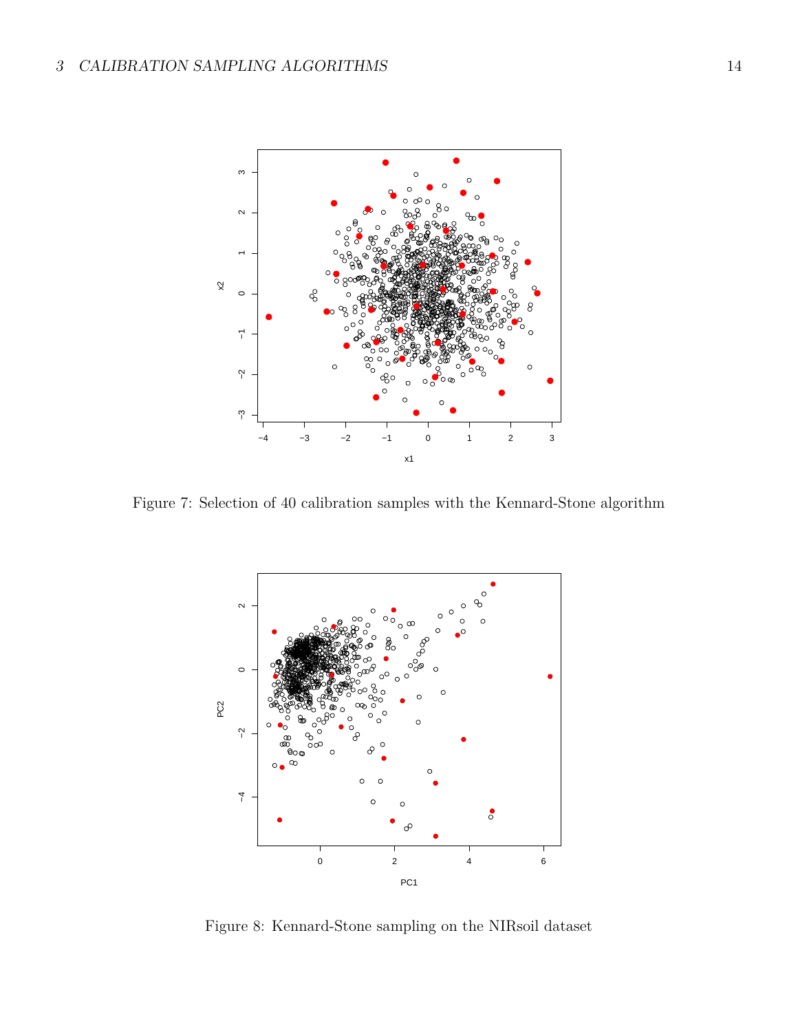

Figure 7: Selection of 40 calibration samples with the Kennard-Stone algorithm



Figure 8: Kennard-Stone sampling on the NIRsoil dataset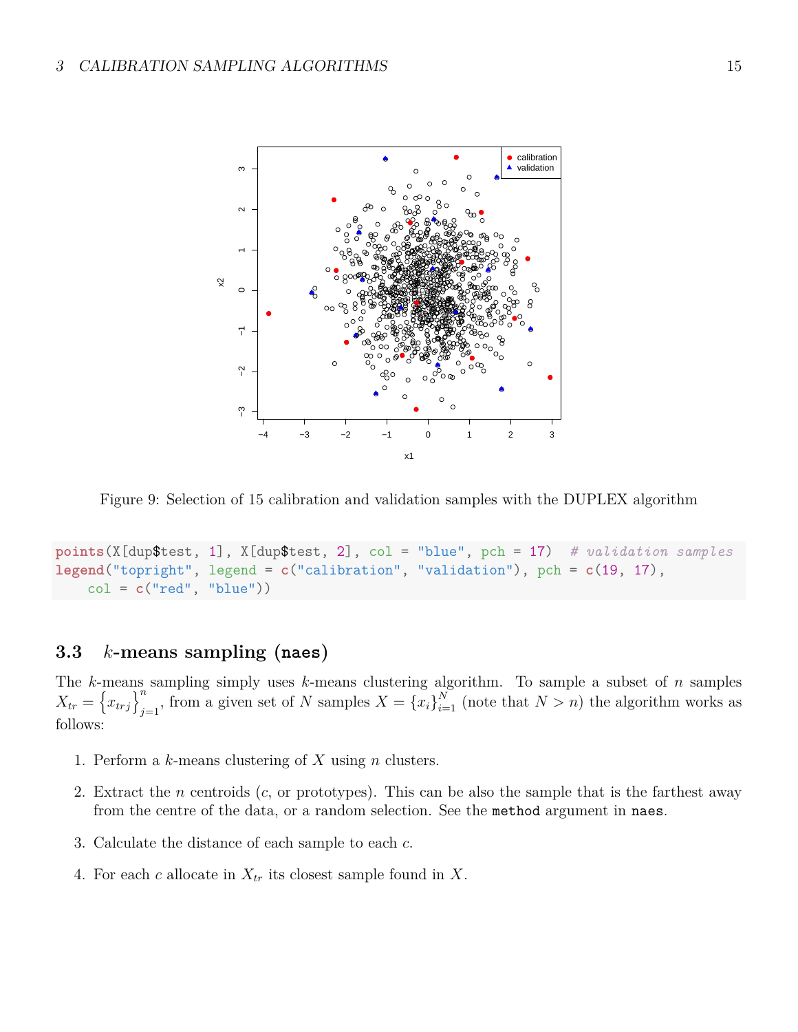

Figure 9: Selection of 15 calibration and validation samples with the DUPLEX algorithm

```
points(X[dup$test, 1], X[dup$test, 2], col = "blue", pch = 17) # validation samples
legend("topright", legend = c("calibration", "validation"), pch = c(19, 17),
    col = c("red", "blue"))
```
## <span id="page-14-0"></span>**3.3** *k***-means sampling (naes)**

The *k*-means sampling simply uses *k*-means clustering algorithm. To sample a subset of *n* samples  $X_{tr} = \left\{ x_{trj} \right\}_{i=1}^{n}$  $\sum_{j=1}^{n}$ , from a given set of *N* samples  $X = \{x_i\}_{i=1}^N$  (note that  $N > n$ ) the algorithm works as follows:

- 1. Perform a *k*-means clustering of *X* using *n* clusters.
- 2. Extract the *n* centroids (*c*, or prototypes). This can be also the sample that is the farthest away from the centre of the data, or a random selection. See the method argument in naes.
- 3. Calculate the distance of each sample to each *c*.
- 4. For each *c* allocate in *Xtr* its closest sample found in *X*.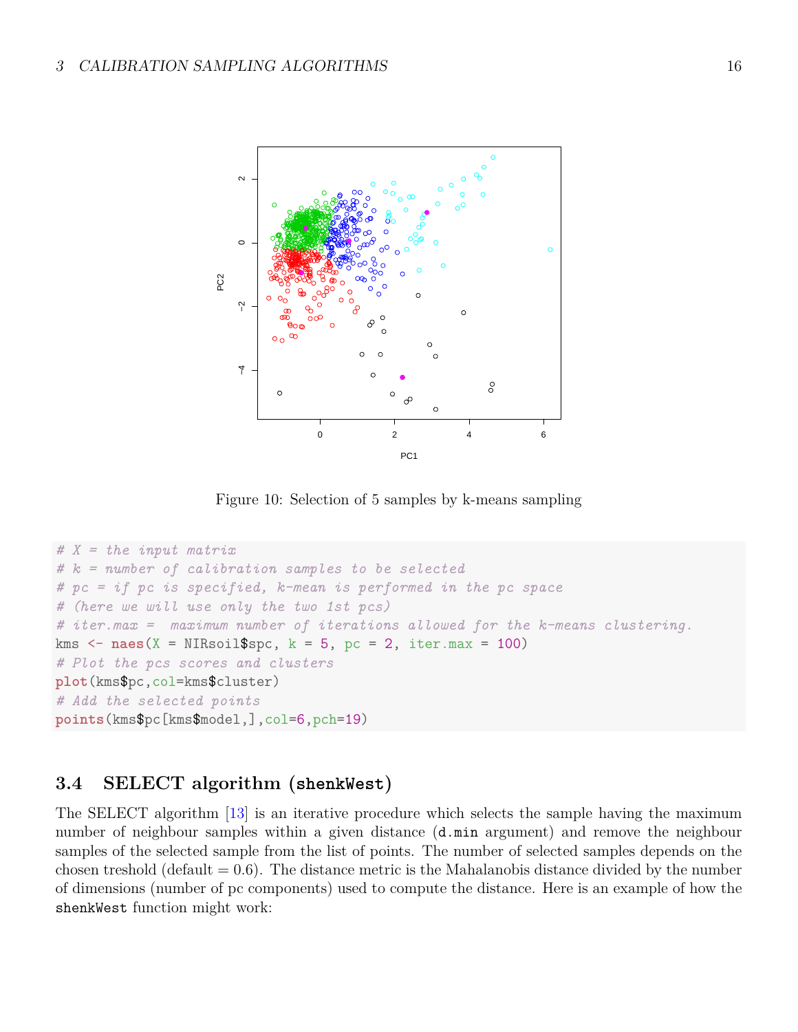

Figure 10: Selection of 5 samples by k-means sampling

```
# X = the input matrix
# k = number of calibration samples to be selected
# pc = if pc is specified, k-mean is performed in the pc space
# (here we will use only the two 1st pcs)
# iter.max = maximum number of iterations allowed for the k-means clustering.
kms <- naes(X = NIRsoil$spc, k = 5, pc = 2, iter.max = 100)
# Plot the pcs scores and clusters
plot(kms$pc,col=kms$cluster)
# Add the selected points
points(kms$pc[kms$model,],col=6,pch=19)
```
# <span id="page-15-0"></span>**3.4 SELECT algorithm (shenkWest)**

The SELECT algorithm [\[13\]](#page-20-4) is an iterative procedure which selects the sample having the maximum number of neighbour samples within a given distance  $(d \cdot \min$  argument) and remove the neighbour samples of the selected sample from the list of points. The number of selected samples depends on the chosen treshold (default  $= 0.6$ ). The distance metric is the Mahalanobis distance divided by the number of dimensions (number of pc components) used to compute the distance. Here is an example of how the shenkWest function might work: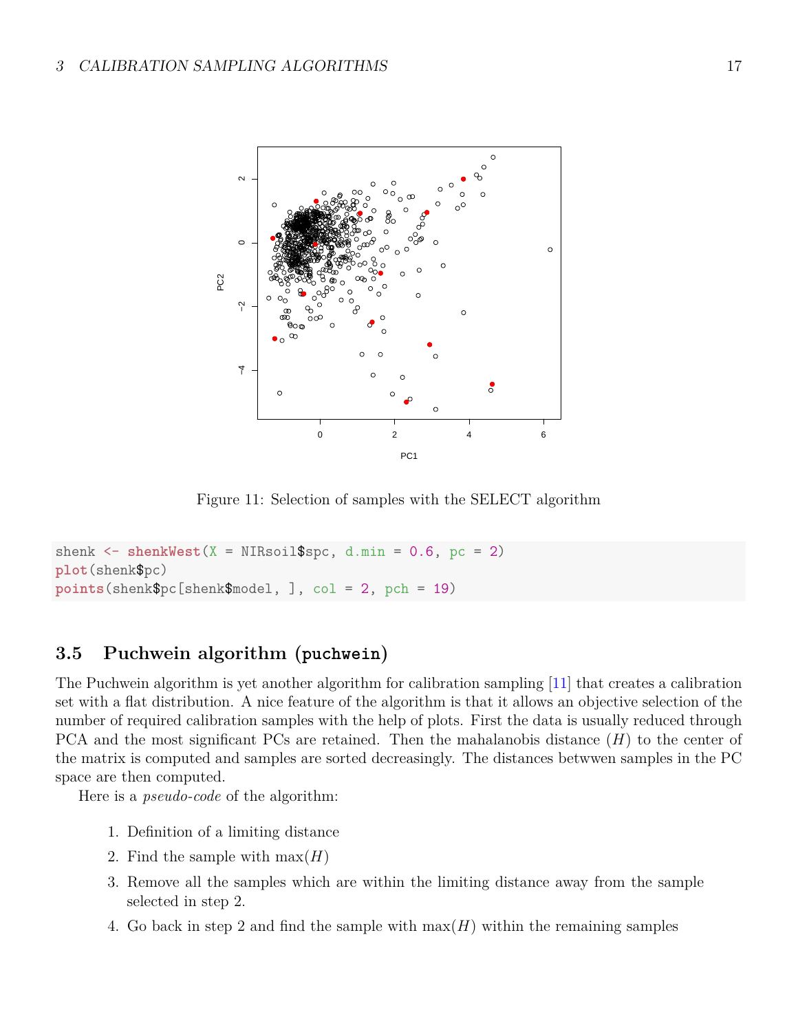

Figure 11: Selection of samples with the SELECT algorithm

```
shenk \leq shenkWest(X = NIRsoi1$spc, d.min = 0.6, pc = 2)
plot(shenk$pc)
points(shenk$pc[shenk$model, ], col = 2, pch = 19)
```
# <span id="page-16-0"></span>**3.5 Puchwein algorithm (puchwein)**

The Puchwein algorithm is yet another algorithm for calibration sampling [\[11\]](#page-20-3) that creates a calibration set with a flat distribution. A nice feature of the algorithm is that it allows an objective selection of the number of required calibration samples with the help of plots. First the data is usually reduced through PCA and the most significant PCs are retained. Then the mahalanobis distance (*H*) to the center of the matrix is computed and samples are sorted decreasingly. The distances betwwen samples in the PC space are then computed.

Here is a *pseudo-code* of the algorithm:

- 1. Definition of a limiting distance
- 2. Find the sample with  $max(H)$
- 3. Remove all the samples which are within the limiting distance away from the sample selected in step 2.
- 4. Go back in step 2 and find the sample with max(*H*) within the remaining samples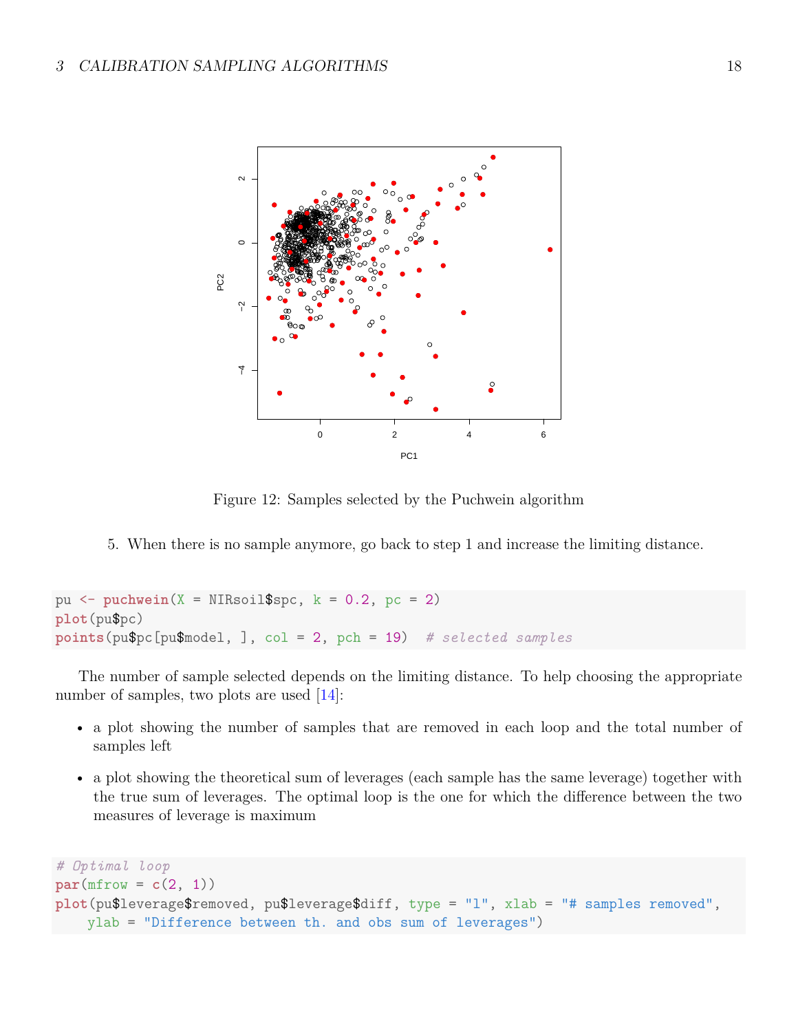

Figure 12: Samples selected by the Puchwein algorithm

5. When there is no sample anymore, go back to step 1 and increase the limiting distance.

```
pu <- puchwein(X = NIRsoil$spc, k = 0.2, pc = 2)
plot(pu$pc)
points(pu$pc[pu$model, ], col = 2, pch = 19) # selected samples
```
The number of sample selected depends on the limiting distance. To help choosing the appropriate number of samples, two plots are used [\[14\]](#page-20-6):

- a plot showing the number of samples that are removed in each loop and the total number of samples left
- a plot showing the theoretical sum of leverages (each sample has the same leverage) together with the true sum of leverages. The optimal loop is the one for which the difference between the two measures of leverage is maximum

```
# Optimal loop
par(mfrow = c(2, 1))plot(pu$leverage$removed, pu$leverage$diff, type = "l", xlab = "# samples removed",
   ylab = "Difference between th. and obs sum of leverages")
```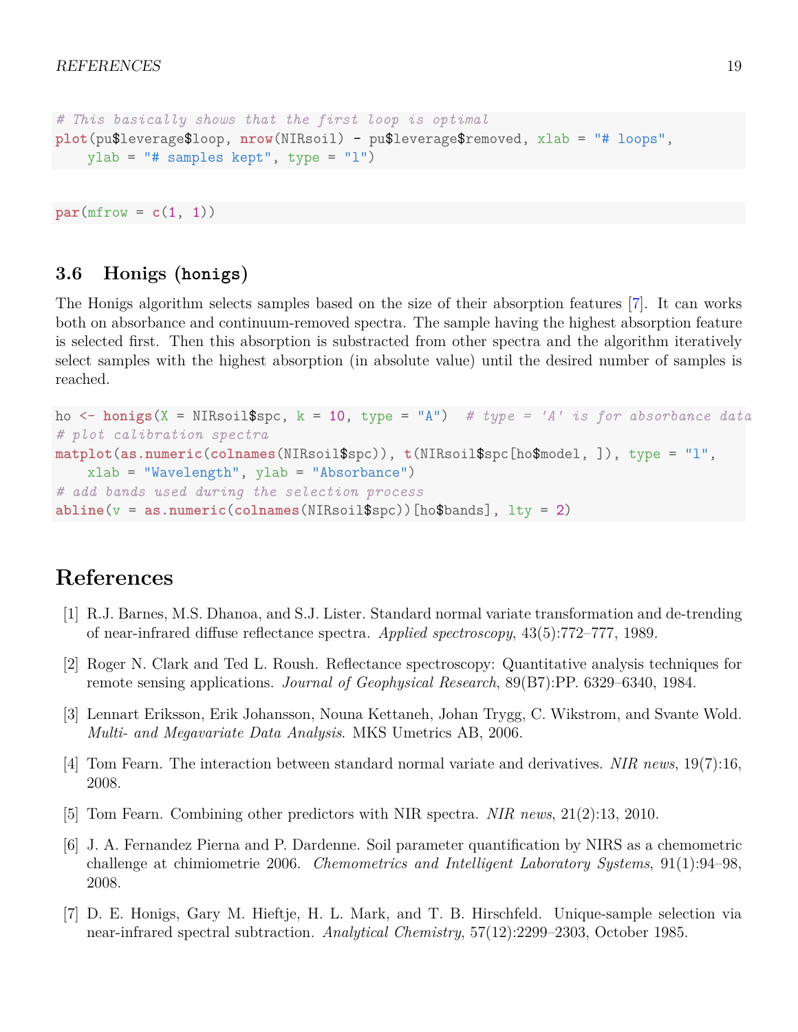```
# This basically shows that the first loop is optimal
plot(pu$leverage$loop, nrow(NIRsoil) - pu$leverage$removed, xlab = "# loops",
    ylab = "# samples kept", type = "l")
```
 $par(mfrow = c(1, 1))$ 

## <span id="page-18-0"></span>**3.6 Honigs (honigs)**

The Honigs algorithm selects samples based on the size of their absorption features [\[7\]](#page-18-7). It can works both on absorbance and continuum-removed spectra. The sample having the highest absorption feature is selected first. Then this absorption is substracted from other spectra and the algorithm iteratively select samples with the highest absorption (in absolute value) until the desired number of samples is reached.

```
ho <- honigs(X = NIRsoil$spc, k = 10, type = "A") # type = 'A' is for absorbance data
# plot calibration spectra
matplot(as.numeric(colnames(NIRsoil$spc)), t(NIRsoil$spc[ho$model, ]), type = "l",
    xlab = "Wavelength", ylab = "Absorbance")
# add bands used during the selection process
abline(v = as.numeric(colnames(NIRsoil$spc))[ho$bands], lty = 2)
```
# **References**

- <span id="page-18-3"></span>[1] R.J. Barnes, M.S. Dhanoa, and S.J. Lister. Standard normal variate transformation and de-trending of near-infrared diffuse reflectance spectra. *Applied spectroscopy*, 43(5):772–777, 1989.
- <span id="page-18-6"></span>[2] Roger N. Clark and Ted L. Roush. Reflectance spectroscopy: Quantitative analysis techniques for remote sensing applications. *Journal of Geophysical Research*, 89(B7):PP. 6329–6340, 1984.
- <span id="page-18-5"></span>[3] Lennart Eriksson, Erik Johansson, Nouna Kettaneh, Johan Trygg, C. Wikstrom, and Svante Wold. *Multi- and Megavariate Data Analysis*. MKS Umetrics AB, 2006.
- <span id="page-18-2"></span>[4] Tom Fearn. The interaction between standard normal variate and derivatives. *NIR news*, 19(7):16, 2008.
- <span id="page-18-4"></span>[5] Tom Fearn. Combining other predictors with NIR spectra. *NIR news*, 21(2):13, 2010.
- <span id="page-18-1"></span>[6] J. A. Fernandez Pierna and P. Dardenne. Soil parameter quantification by NIRS as a chemometric challenge at chimiometrie 2006. *Chemometrics and Intelligent Laboratory Systems*, 91(1):94–98, 2008.
- <span id="page-18-7"></span>[7] D. E. Honigs, Gary M. Hieftje, H. L. Mark, and T. B. Hirschfeld. Unique-sample selection via near-infrared spectral subtraction. *Analytical Chemistry*, 57(12):2299–2303, October 1985.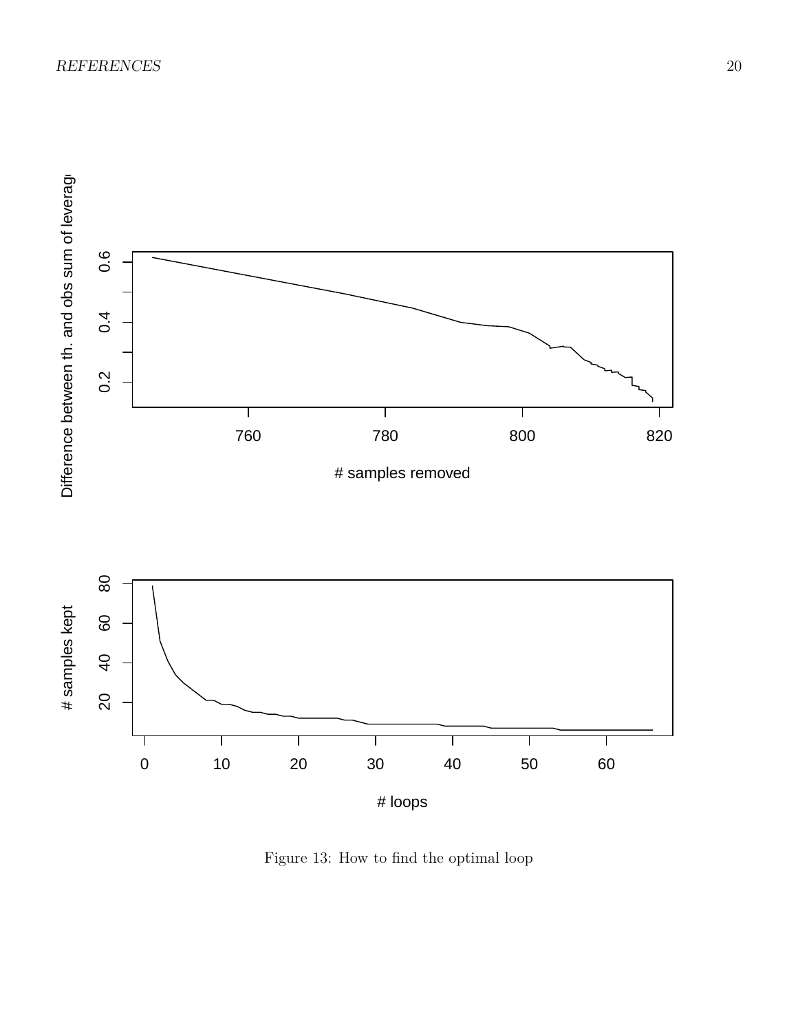

Figure 13: How to find the optimal loop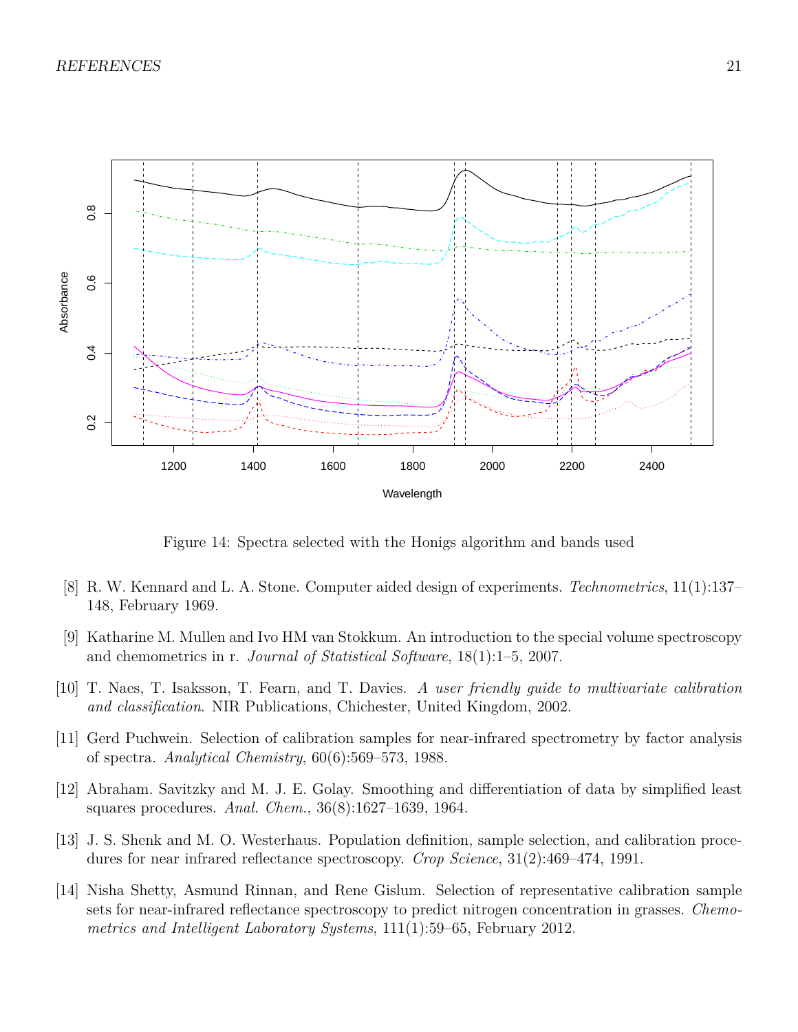

Figure 14: Spectra selected with the Honigs algorithm and bands used

- <span id="page-20-2"></span>[8] R. W. Kennard and L. A. Stone. Computer aided design of experiments. *Technometrics*, 11(1):137– 148, February 1969.
- <span id="page-20-0"></span>[9] Katharine M. Mullen and Ivo HM van Stokkum. An introduction to the special volume spectroscopy and chemometrics in r. *Journal of Statistical Software*, 18(1):1–5, 2007.
- <span id="page-20-5"></span>[10] T. Naes, T. Isaksson, T. Fearn, and T. Davies. *A user friendly guide to multivariate calibration and classification*. NIR Publications, Chichester, United Kingdom, 2002.
- <span id="page-20-3"></span>[11] Gerd Puchwein. Selection of calibration samples for near-infrared spectrometry by factor analysis of spectra. *Analytical Chemistry*, 60(6):569–573, 1988.
- <span id="page-20-1"></span>[12] Abraham. Savitzky and M. J. E. Golay. Smoothing and differentiation of data by simplified least squares procedures. *Anal. Chem.*, 36(8):1627–1639, 1964.
- <span id="page-20-4"></span>[13] J. S. Shenk and M. O. Westerhaus. Population definition, sample selection, and calibration procedures for near infrared reflectance spectroscopy. *Crop Science*, 31(2):469–474, 1991.
- <span id="page-20-6"></span>[14] Nisha Shetty, Asmund Rinnan, and Rene Gislum. Selection of representative calibration sample sets for near-infrared reflectance spectroscopy to predict nitrogen concentration in grasses. *Chemometrics and Intelligent Laboratory Systems*, 111(1):59–65, February 2012.